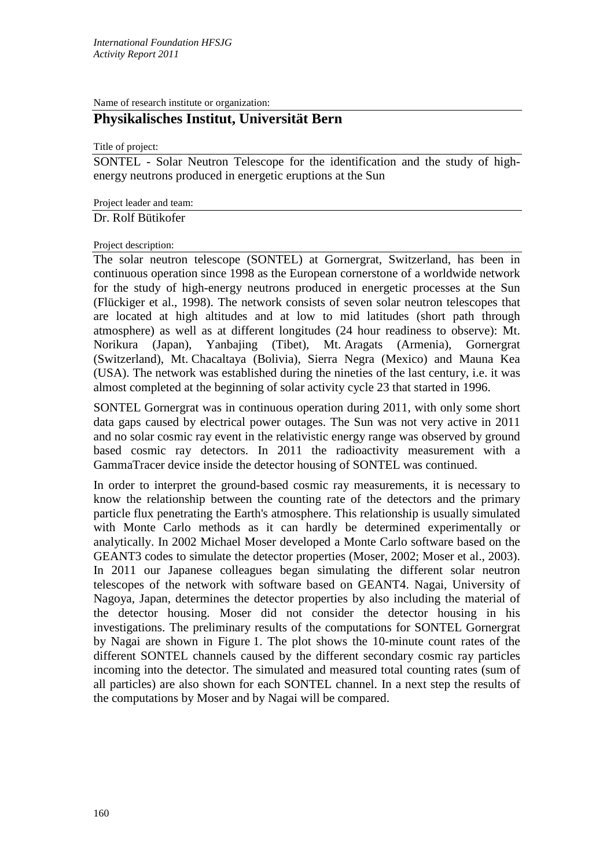Name of research institute or organization:

## **Physikalisches Institut, Universität Bern**

Title of project:

SONTEL - Solar Neutron Telescope for the identification and the study of highenergy neutrons produced in energetic eruptions at the Sun

Project leader and team:

Dr. Rolf Bütikofer

## Project description:

The solar neutron telescope (SONTEL) at Gornergrat, Switzerland, has been in continuous operation since 1998 as the European cornerstone of a worldwide network for the study of high-energy neutrons produced in energetic processes at the Sun (Flückiger et al., 1998). The network consists of seven solar neutron telescopes that are located at high altitudes and at low to mid latitudes (short path through atmosphere) as well as at different longitudes (24 hour readiness to observe): Mt. Norikura (Japan), Yanbajing (Tibet), Mt. Aragats (Armenia), Gornergrat (Switzerland), Mt. Chacaltaya (Bolivia), Sierra Negra (Mexico) and Mauna Kea (USA). The network was established during the nineties of the last century, i.e. it was almost completed at the beginning of solar activity cycle 23 that started in 1996.

SONTEL Gornergrat was in continuous operation during 2011, with only some short data gaps caused by electrical power outages. The Sun was not very active in 2011 and no solar cosmic ray event in the relativistic energy range was observed by ground based cosmic ray detectors. In 2011 the radioactivity measurement with a GammaTracer device inside the detector housing of SONTEL was continued.

In order to interpret the ground-based cosmic ray measurements, it is necessary to know the relationship between the counting rate of the detectors and the primary particle flux penetrating the Earth's atmosphere. This relationship is usually simulated with Monte Carlo methods as it can hardly be determined experimentally or analytically. In 2002 Michael Moser developed a Monte Carlo software based on the GEANT3 codes to simulate the detector properties (Moser, 2002; Moser et al., 2003). In 2011 our Japanese colleagues began simulating the different solar neutron telescopes of the network with software based on GEANT4. Nagai, University of Nagoya, Japan, determines the detector properties by also including the material of the detector housing. Moser did not consider the detector housing in his investigations. The preliminary results of the computations for SONTEL Gornergrat by Nagai are shown in Figure 1. The plot shows the 10-minute count rates of the different SONTEL channels caused by the different secondary cosmic ray particles incoming into the detector. The simulated and measured total counting rates (sum of all particles) are also shown for each SONTEL channel. In a next step the results of the computations by Moser and by Nagai will be compared.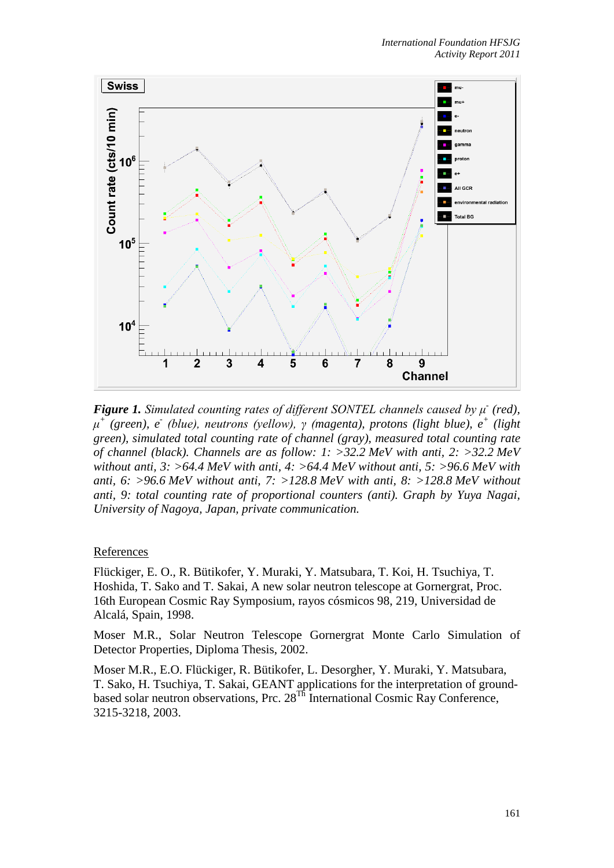

*Figure 1. Simulated counting rates of different SONTEL channels caused by μ<sup>-</sup> (red), μ<sup>+</sup> (green), e- (blue), neutrons (yellow), γ (magenta), protons (light blue), e+ (light green), simulated total counting rate of channel (gray), measured total counting rate of channel (black). Channels are as follow: 1: >32.2 MeV with anti, 2: >32.2 MeV without anti, 3: >64.4 MeV with anti, 4: >64.4 MeV without anti, 5: >96.6 MeV with anti, 6: >96.6 MeV without anti, 7: >128.8 MeV with anti, 8: >128.8 MeV without anti, 9: total counting rate of proportional counters (anti). Graph by Yuya Nagai, University of Nagoya, Japan, private communication.*

## References

Flückiger, E. O., R. Bütikofer, Y. Muraki, Y. Matsubara, T. Koi, H. Tsuchiya, T. Hoshida, T. Sako and T. Sakai, A new solar neutron telescope at Gornergrat, Proc. 16th European Cosmic Ray Symposium, rayos cósmicos 98, 219, Universidad de Alcalá, Spain, 1998.

Moser M.R., Solar Neutron Telescope Gornergrat Monte Carlo Simulation of Detector Properties, Diploma Thesis, 2002.

Moser M.R., E.O. Flückiger, R. Bütikofer, L. Desorgher, Y. Muraki, Y. Matsubara, T. Sako, H. Tsuchiya, T. Sakai, GEANT applications for the interpretation of groundbased solar neutron observations, Prc. 28<sup>Th</sup> International Cosmic Ray Conference, 3215-3218, 2003.